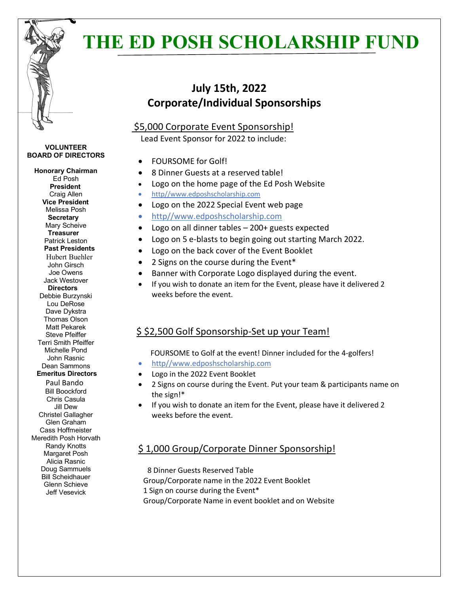

**VOLUNTEER BOARD OF DIRECTORS**

**Honorary Chairman** Ed Posh  **President**

# **THE ED POSH SCHOLARSHIP FUND**

## **July 15th, 2022 Corporate/Individual Sponsorships**

#### \$5,000 Corporate Event Sponsorship!

Lead Event Sponsor for 2022 to include:

- FOURSOME for Golf!
- 8 Dinner Guests at a reserved table!
- Logo on the home page of the Ed Posh Website
- http//www.edposhscholarship.com
- Logo on the 2022 Special Event web page
- http//www.edposhscholarship.com
- Logo on all dinner tables 200+ guests expected
- Logo on 5 e-blasts to begin going out starting March 2022.
- Logo on the back cover of the Event Booklet
- 2 Signs on the course during the Event\*
- Banner with Corporate Logo displayed during the event.
- If you wish to donate an item for the Event, please have it delivered 2 weeks before the event.

### \$ \$2,500 Golf Sponsorship-Set up your Team!

#### FOURSOME to Golf at the event! Dinner included for the 4-golfers!

- http//www.edposhscholarship.com
- Logo in the 2022 Event Booklet
- 2 Signs on course during the Event. Put your team & participants name on the sign!\*
- If you wish to donate an item for the Event, please have it delivered 2 weeks before the event.

### \$ 1,000 Group/Corporate Dinner Sponsorship!

 8 Dinner Guests Reserved Table Group/Corporate name in the 2022 Event Booklet 1 Sign on course during the Event\*

Group/Corporate Name in event booklet and on Website

Craig Allen  **Vice President** Melissa Posh **Secretary** Mary Scheive **Treasurer** Patrick Leston  **Past Presidents** Hubert Buehler John Girsch Joe Owens Jack Westover  **Directors** Debbie Burzynski Lou DeRose Dave Dykstra Thomas Olson Matt Pekarek Steve Pfeiffer Terri Smith Pfeiffer Michelle Pond John Rasnic Dean Sammons  **Emeritus Directors** Paul Bando Bill Boockford Chris Casula Jill Dew Christel Gallagher Glen Graham Cass Hoffmeister Meredith Posh Horvath Randy Knotts Margaret Posh Alicia Rasnic Doug Sammuels Bill Scheidhauer Glenn Schieve Jeff Vesevick